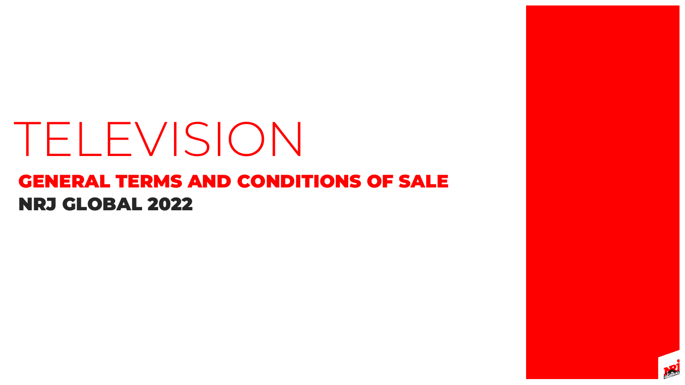# NRJ GLOBAL 2022 GENERAL TERMS AND CONDITIONS OF SALE TELEVISION



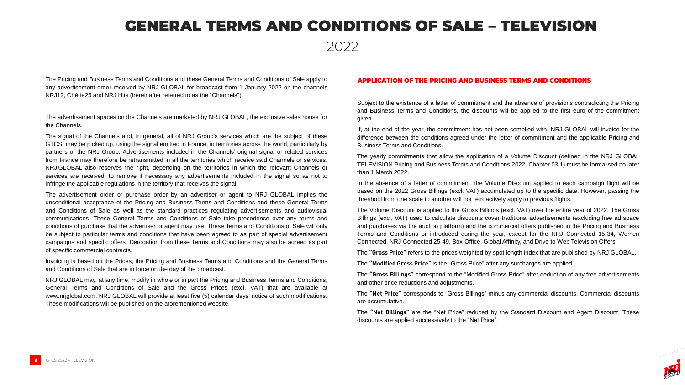### GENERAL TERMS AND CONDITIONS OF SALE – TELEVISION

The Pricing and Business Terms and Conditions and these General Terms and Conditions of Sale apply to any advertisement order received by NRJ GLOBAL for broadcast from 1 January 2022 on the channels NRJ12, Chérie25 and NRJ Hits (hereinafter referred to as the "Channels").

The advertisement spaces on the Channels are marketed by NRJ GLOBAL, the exclusive sales house for the Channels.

The signal of the Channels and, in general, all of NRJ Group's services which are the subject of these GTCS, may be picked up, using the signal emitted in France, in territories across the world, particularly by partners of the NRJ Group. Advertisements included in the Channels' original signal or related services from France may therefore be retransmitted in all the territories which receive said Channels or services. NRJ GLOBAL also reserves the right, depending on the territories in which the relevant Channels or services are received, to remove if necessary any advertisements included in the signal so as not to infringe the applicable regulations in the territory that receives the signal.

The advertisement order or purchase order by an advertiser or agent to NRJ GLOBAL implies the unconditional acceptance of the Pricing and Business Terms and Conditions and these General Terms and Conditions of Sale as well as the standard practices regulating advertisements and audiovisual communications. These General Terms and Conditions of Sale take precedence over any terms and conditions of purchase that the advertiser or agent may use. These Terms and Conditions of Sale will only be subject to particular terms and conditions that have been agreed to as part of special advertisement campaigns and specific offers. Derogation from these Terms and Conditions may also be agreed as part of specific commercial contracts.

Invoicing is based on the Prices, the Pricing and Business Terms and Conditions and the General Terms and Conditions of Sale that are in force on the day of the broadcast.

NRJ GLOBAL may, at any time, modify in whole or in part the Pricing and Business Terms and Conditions, General Terms and Conditions of Sale and the Gross Prices (excl. VAT) that are available at www.nrjglobal.com. NRJ GLOBAL will provide at least five (5) calendar days' notice of such modifications. These modifications will be published on the aforementioned website.

Subject to the existence of a letter of commitment and the absence of provisions contradicting the Pricing and Business Terms and Conditions, the discounts will be applied to the first euro of the commitment given.

If, at the end of the year, the commitment has not been complied with, NRJ GLOBAL will invoice for the difference between the conditions agreed under the letter of commitment and the applicable Pricing and Business Terms and Conditions.

The yearly commitments that allow the application of a Volume Discount (defined in the NRJ GLOBAL TELEVISION Pricing and Business Terms and Conditions 2022, Chapter 03.1) must be formalised no later than 1 March 2022.

In the absence of a letter of commitment, the Volume Discount applied to each campaign flight will be based on the 2022 Gross Billings (excl. VAT) accumulated up to the specific date. However, passing the threshold from one scale to another will not retroactively apply to previous flights.

The Volume Discount is applied to the Gross Billings (excl. VAT) over the entire year of 2022. The Gross Billings (excl. VAT) used to calculate discounts cover traditional advertisements (excluding free ad space and purchases via the auction platform) and the commercial offers published in the Pricing and Business Terms and Conditions or introduced during the year, except for the NRJ Connected 15-34, Women Connected, NRJ Connected 25-49, Box-Office, Global Affinity, and Drive to Web Television Offers.

The **"Gross Price"** refers to the prices weighted by spot length index that are published by NRJ GLOBAL.

The **"Modified Gross Price"** is the "Gross Price" after any surcharges are applied.

The **"Gross Billings"** correspond to the "Modified Gross Price" after deduction of any free advertisements and other price reductions and adjustments.

The **"Net Price"** corresponds to "Gross Billings" minus any commercial discounts. Commercial discounts



are accumulative.

The **"Net Billings"** are the "Net Price" reduced by the Standard Discount and Agent Discount. These discounts are applied successively to the "Net Price".

#### APPLICATION OF THE PRICING AND BUSINESS TERMS AND CONDITIONS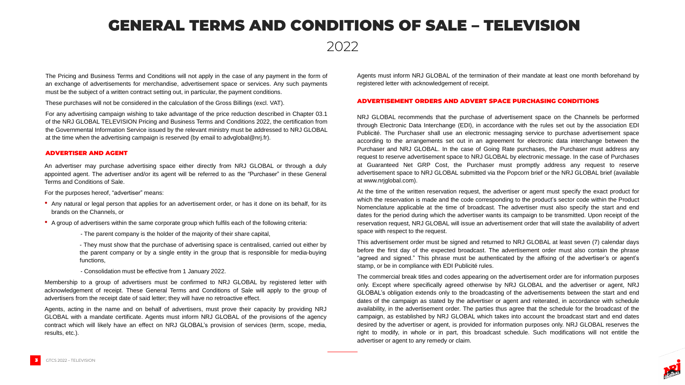### GENERAL TERMS AND CONDITIONS OF SALE – TELEVISION

The Pricing and Business Terms and Conditions will not apply in the case of any payment in the form of an exchange of advertisements for merchandise, advertisement space or services. Any such payments must be the subject of a written contract setting out, in particular, the payment conditions.

These purchases will not be considered in the calculation of the Gross Billings (excl. VAT).

For any advertising campaign wishing to take advantage of the price reduction described in Chapter 03.1 of the NRJ GLOBAL TELEVISION Pricing and Business Terms and Conditions 2022, the certification from the Governmental Information Service issued by the relevant ministry must be addressed to NRJ GLOBAL at the time when the advertising campaign is reserved (by email to advglobal@nrj.fr).

NRJ GLOBAL recommends that the purchase of advertisement space on the Channels be performed through Electronic Data Interchange (EDI), in accordance with the rules set out by the association EDI Publicité. The Purchaser shall use an electronic messaging service to purchase advertisement space according to the arrangements set out in an agreement for electronic data interchange between the Purchaser and NRJ GLOBAL. In the case of Going Rate purchases, the Purchaser must address any request to reserve advertisement space to NRJ GLOBAL by electronic message. In the case of Purchases at Guaranteed Net GRP Cost, the Purchaser must promptly address any request to reserve advertisement space to NRJ GLOBAL submitted via the Popcorn brief or the NRJ GLOBAL brief (available at www.nrjglobal.com).

At the time of the written reservation request, the advertiser or agent must specify the exact product for which the reservation is made and the code corresponding to the product's sector code within the Product Nomenclature applicable at the time of broadcast. The advertiser must also specify the start and end dates for the period during which the advertiser wants its campaign to be transmitted. Upon receipt of the reservation request, NRJ GLOBAL will issue an advertisement order that will state the availability of advert space with respect to the request.

- Any natural or legal person that applies for an advertisement order, or has it done on its behalf, for its brands on the Channels, or
- A group of advertisers within the same corporate group which fulfils each of the following criteria:
	- The parent company is the holder of the majority of their share capital,

This advertisement order must be signed and returned to NRJ GLOBAL at least seven (7) calendar days before the first day of the expected broadcast. The advertisement order must also contain the phrase "agreed and signed." This phrase must be authenticated by the affixing of the advertiser's or agent's stamp, or be in compliance with EDI Publicité rules.



The commercial break titles and codes appearing on the advertisement order are for information purposes only. Except where specifically agreed otherwise by NRJ GLOBAL and the advertiser or agent, NRJ GLOBAL's obligation extends only to the broadcasting of the advertisements between the start and end dates of the campaign as stated by the advertiser or agent and reiterated, in accordance with schedule availability, in the advertisement order. The parties thus agree that the schedule for the broadcast of the campaign, as established by NRJ GLOBAL which takes into account the broadcast start and end dates desired by the advertiser or agent, is provided for information purposes only. NRJ GLOBAL reserves the right to modify, in whole or in part, this broadcast schedule. Such modifications will not entitle the advertiser or agent to any remedy or claim.

An advertiser may purchase advertising space either directly from NRJ GLOBAL or through a duly appointed agent. The advertiser and/or its agent will be referred to as the "Purchaser" in these General Terms and Conditions of Sale.

For the purposes hereof, "advertiser" means:

- They must show that the purchase of advertising space is centralised, carried out either by the parent company or by a single entity in the group that is responsible for media-buying functions,

- Consolidation must be effective from 1 January 2022.

Membership to a group of advertisers must be confirmed to NRJ GLOBAL by registered letter with acknowledgement of receipt. These General Terms and Conditions of Sale will apply to the group of advertisers from the receipt date of said letter; they will have no retroactive effect.

Agents, acting in the name and on behalf of advertisers, must prove their capacity by providing NRJ GLOBAL with a mandate certificate. Agents must inform NRJ GLOBAL of the provisions of the agency contract which will likely have an effect on NRJ GLOBAL's provision of services (term, scope, media, results, etc.).

#### ADVERTISER AND AGENT

#### ADVERTISEMENT ORDERS AND ADVERT SPACE PURCHASING CONDITIONS

Agents must inform NRJ GLOBAL of the termination of their mandate at least one month beforehand by registered letter with acknowledgement of receipt.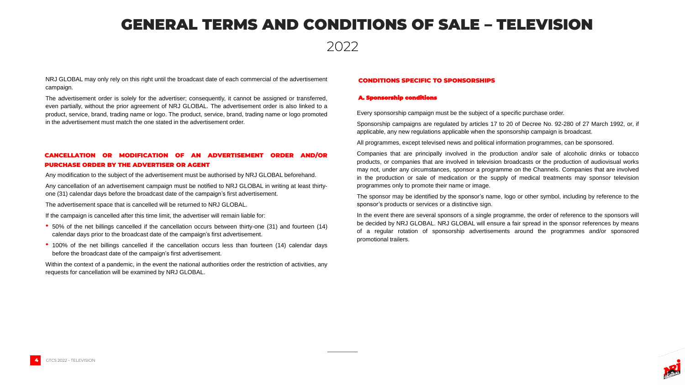## GENERAL TERMS AND CONDITIONS OF SALE – TELEVISION

NRJ GLOBAL may only rely on this right until the broadcast date of each commercial of the advertisement campaign.

The advertisement order is solely for the advertiser; consequently, it cannot be assigned or transferred, even partially, without the prior agreement of NRJ GLOBAL. The advertisement order is also linked to a product, service, brand, trading name or logo. The product, service, brand, trading name or logo promoted in the advertisement must match the one stated in the advertisement order.

Any modification to the subject of the advertisement must be authorised by NRJ GLOBAL beforehand.

Any cancellation of an advertisement campaign must be notified to NRJ GLOBAL in writing at least thirtyone (31) calendar days before the broadcast date of the campaign's first advertisement.

The advertisement space that is cancelled will be returned to NRJ GLOBAL.

If the campaign is cancelled after this time limit, the advertiser will remain liable for:

- 50% of the net billings cancelled if the cancellation occurs between thirty-one (31) and fourteen (14) calendar days prior to the broadcast date of the campaign's first advertisement.
- 100% of the net billings cancelled if the cancellation occurs less than fourteen (14) calendar days before the broadcast date of the campaign's first advertisement.

Within the context of a pandemic, in the event the national authorities order the restriction of activities, any requests for cancellation will be examined by NRJ GLOBAL.



#### A. Sponsorship conditions

#### CONDITIONS SPECIFIC TO SPONSORSHIPS

Every sponsorship campaign must be the subject of a specific purchase order.

Sponsorship campaigns are regulated by articles 17 to 20 of Decree No. 92-280 of 27 March 1992, or, if applicable, any new regulations applicable when the sponsorship campaign is broadcast.

All programmes, except televised news and political information programmes, can be sponsored.

Companies that are principally involved in the production and/or sale of alcoholic drinks or tobacco products, or companies that are involved in television broadcasts or the production of audiovisual works may not, under any circumstances, sponsor a programme on the Channels. Companies that are involved in the production or sale of medication or the supply of medical treatments may sponsor television programmes only to promote their name or image.

The sponsor may be identified by the sponsor's name, logo or other symbol, including by reference to the sponsor's products or services or a distinctive sign.

In the event there are several sponsors of a single programme, the order of reference to the sponsors will be decided by NRJ GLOBAL. NRJ GLOBAL will ensure a fair spread in the sponsor references by means of a regular rotation of sponsorship advertisements around the programmes and/or sponsored promotional trailers.

#### CANCELLATION OR MODIFICATION OF AN ADVERTISEMENT ORDER AND/OR PURCHASE ORDER BY THE ADVERTISER OR AGENT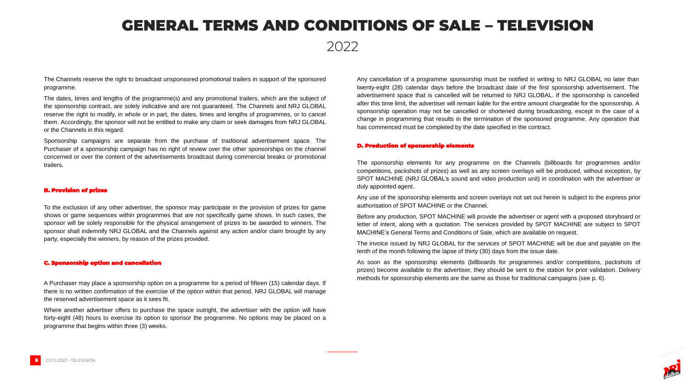### GENERAL TERMS AND CONDITIONS OF SALE – TELEVISION

The Channels reserve the right to broadcast unsponsored promotional trailers in support of the sponsored programme.

The dates, times and lengths of the programme(s) and any promotional trailers, which are the subject of the sponsorship contract, are solely indicative and are not guaranteed. The Channels and NRJ GLOBAL reserve the right to modify, in whole or in part, the dates, times and lengths of programmes, or to cancel them. Accordingly, the sponsor will not be entitled to make any claim or seek damages from NRJ GLOBAL or the Channels in this regard.

Sponsorship campaigns are separate from the purchase of traditional advertisement space. The Purchaser of a sponsorship campaign has no right of review over the other sponsorships on the channel concerned or over the content of the advertisements broadcast during commercial breaks or promotional trailers.

#### B. Provision of prizes

To the exclusion of any other advertiser, the sponsor may participate in the provision of prizes for game shows or game sequences within programmes that are not specifically game shows. In such cases, the sponsor will be solely responsible for the physical arrangement of prizes to be awarded to winners. The sponsor shall indemnify NRJ GLOBAL and the Channels against any action and/or claim brought by any party, especially the winners, by reason of the prizes provided.

#### C. Sponsorship option and cancellation

A Purchaser may place a sponsorship option on a programme for a period of fifteen (15) calendar days. If there is no written confirmation of the exercise of the option within that period, NRJ GLOBAL will manage the reserved advertisement space as it sees fit.

Where another advertiser offers to purchase the space outright, the advertiser with the option will have forty-eight (48) hours to exercise its option to sponsor the programme. No options may be placed on a programme that begins within three (3) weeks.



Any cancellation of a programme sponsorship must be notified in writing to NRJ GLOBAL no later than twenty-eight (28) calendar days before the broadcast date of the first sponsorship advertisement. The advertisement space that is cancelled will be returned to NRJ GLOBAL. If the sponsorship is cancelled after this time limit, the advertiser will remain liable for the entire amount chargeable for the sponsorship. A sponsorship operation may not be cancelled or shortened during broadcasting, except in the case of a change in programming that results in the termination of the sponsored programme. Any operation that has commenced must be completed by the date specified in the contract.

#### D. Production of sponsorship elements

The sponsorship elements for any programme on the Channels (billboards for programmes and/or competitions, packshots of prizes) as well as any screen overlays will be produced, without exception, by SPOT MACHINE (NRJ GLOBAL's sound and video production unit) in coordination with the advertiser or duly appointed agent.

Any use of the sponsorship elements and screen overlays not set out herein is subject to the express prior authorisation of SPOT MACHINE or the Channel.

Before any production, SPOT MACHINE will provide the advertiser or agent with a proposed storyboard or letter of intent, along with a quotation. The services provided by SPOT MACHINE are subject to SPOT MACHINE's General Terms and Conditions of Sale, which are available on request.

The invoice issued by NRJ GLOBAL for the services of SPOT MACHINE will be due and payable on the tenth of the month following the lapse of thirty (30) days from the issue date.

As soon as the sponsorship elements (billboards for programmes and/or competitions, packshots of prizes) become available to the advertiser, they should be sent to the station for prior validation. Delivery methods for sponsorship elements are the same as those for traditional campaigns (see p. 6).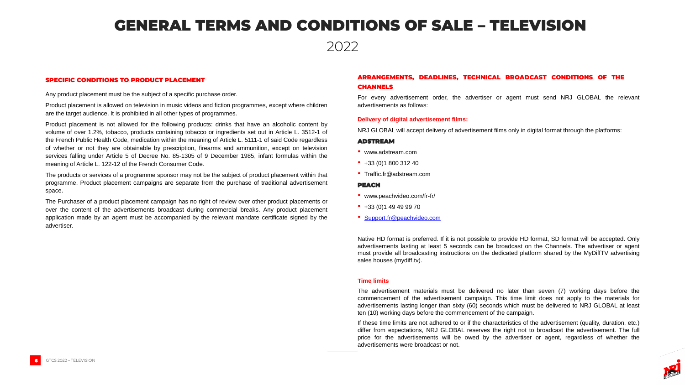### GENERAL TERMS AND CONDITIONS OF SALE – TELEVISION

Any product placement must be the subject of a specific purchase order.

Product placement is allowed on television in music videos and fiction programmes, except where children are the target audience. It is prohibited in all other types of programmes.

Product placement is not allowed for the following products: drinks that have an alcoholic content by volume of over 1.2%, tobacco, products containing tobacco or ingredients set out in Article L. 3512-1 of the French Public Health Code, medication within the meaning of Article L. 5111-1 of said Code regardless of whether or not they are obtainable by prescription, firearms and ammunition, except on television services falling under Article 5 of Decree No. 85-1305 of 9 December 1985, infant formulas within the meaning of Article L. 122-12 of the French Consumer Code.

The products or services of a programme sponsor may not be the subject of product placement within that programme. Product placement campaigns are separate from the purchase of traditional advertisement space.

The Purchaser of a product placement campaign has no right of review over other product placements or over the content of the advertisements broadcast during commercial breaks. Any product placement application made by an agent must be accompanied by the relevant mandate certificate signed by the advertiser.

#### SPECIFIC CONDITIONS TO PRODUCT PLACEMENT

For every advertisement order, the advertiser or agent must send NRJ GLOBAL the relevant



advertisements as follows:

### ARRANGEMENTS, DEADLINES, TECHNICAL BROADCAST CONDITIONS OF THE

### CHANNELS

#### **Delivery of digital advertisement films:**

NRJ GLOBAL will accept delivery of advertisement films only in digital format through the platforms:

#### ADSTREAM

- www.adstream.com
- $\bullet$  +33 (0)1 800 312 40
- Traffic.fr@adstream.com

#### PEACH

- www.peachvideo.com/fr-fr/
- $•$  +33 (0)1 49 49 99 70
- [Support.fr@peachvideo.com](mailto:Support.fr@peachvideo.com)

Native HD format is preferred. If it is not possible to provide HD format, SD format will be accepted. Only advertisements lasting at least 5 seconds can be broadcast on the Channels. The advertiser or agent must provide all broadcasting instructions on the dedicated platform shared by the MyDiffTV advertising sales houses (mydiff.tv).

#### **Time limits**

The advertisement materials must be delivered no later than seven (7) working days before the commencement of the advertisement campaign. This time limit does not apply to the materials for advertisements lasting longer than sixty (60) seconds which must be delivered to NRJ GLOBAL at least ten (10) working days before the commencement of the campaign.

If these time limits are not adhered to or if the characteristics of the advertisement (quality, duration, etc.) differ from expectations, NRJ GLOBAL reserves the right not to broadcast the advertisement. The full price for the advertisements will be owed by the advertiser or agent, regardless of whether the advertisements were broadcast or not.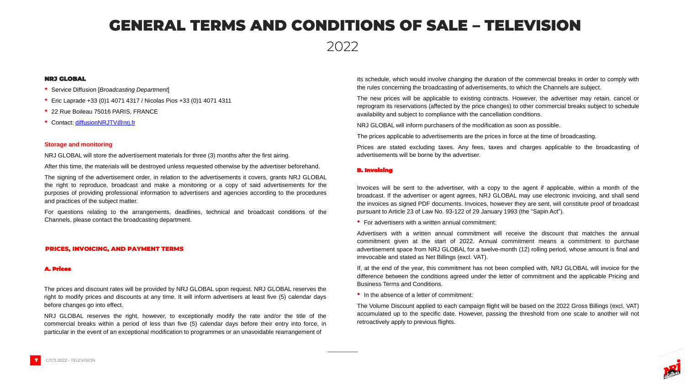### GENERAL TERMS AND CONDITIONS OF SALE – TELEVISION

- Service Diffusion [*Broadcasting Department*]
- Eric Laprade +33 (0)1 4071 4317 / Nicolas Pios +33 (0)1 4071 4311
- 22 Rue Boileau 75016 PARIS, FRANCE
- Contact: [diffusionNRJTV@nrj.fr](mailto:diffusionNRJTV@nrj.fr)

#### NRJ GLOBAL

#### **Storage and monitoring**

NRJ GLOBAL will store the advertisement materials for three (3) months after the first airing.

After this time, the materials will be destroyed unless requested otherwise by the advertiser beforehand.

The signing of the advertisement order, in relation to the advertisements it covers, grants NRJ GLOBAL the right to reproduce, broadcast and make a monitoring or a copy of said advertisements for the purposes of providing professional information to advertisers and agencies according to the procedures and practices of the subject matter.

For questions relating to the arrangements, deadlines, technical and broadcast conditions of the Channels, please contact the broadcasting department.

#### PRICES, INVOICING, AND PAYMENT TERMS

#### A. Prices

The prices and discount rates will be provided by NRJ GLOBAL upon request. NRJ GLOBAL reserves the right to modify prices and discounts at any time. It will inform advertisers at least five (5) calendar days before changes go into effect.

NRJ GLOBAL reserves the right, however, to exceptionally modify the rate and/or the title of the commercial breaks within a period of less than five (5) calendar days before their entry into force, in particular in the event of an exceptional modification to programmes or an unavoidable rearrangement of

its schedule, which would involve changing the duration of the commercial breaks in order to comply with the rules concerning the broadcasting of advertisements, to which the Channels are subject.



The new prices will be applicable to existing contracts. However, the advertiser may retain, cancel or reprogram its reservations (affected by the price changes) to other commercial breaks subject to schedule availability and subject to compliance with the cancellation conditions.

NRJ GLOBAL will inform purchasers of the modification as soon as possible.

The prices applicable to advertisements are the prices in force at the time of broadcasting.

Prices are stated excluding taxes. Any fees, taxes and charges applicable to the broadcasting of advertisements will be borne by the advertiser.

Invoices will be sent to the advertiser, with a copy to the agent if applicable, within a month of the broadcast. If the advertiser or agent agrees, NRJ GLOBAL may use electronic invoicing, and shall send the invoices as signed PDF documents. Invoices, however they are sent, will constitute proof of broadcast pursuant to Article 23 of Law No. 93-122 of 29 January 1993 (the "Sapin Act").

• For advertisers with a written annual commitment:

Advertisers with a written annual commitment will receive the discount that matches the annual commitment given at the start of 2022. Annual commitment means a commitment to purchase advertisement space from NRJ GLOBAL for a twelve-month (12) rolling period, whose amount is final and irrevocable and stated as Net Billings (excl. VAT).

If, at the end of the year, this commitment has not been complied with, NRJ GLOBAL will invoice for the difference between the conditions agreed under the letter of commitment and the applicable Pricing and Business Terms and Conditions.

• In the absence of a letter of commitment:

The Volume Discount applied to each campaign flight will be based on the 2022 Gross Billings (excl. VAT) accumulated up to the specific date. However, passing the threshold from one scale to another will not retroactively apply to previous flights.

#### B. Invoicing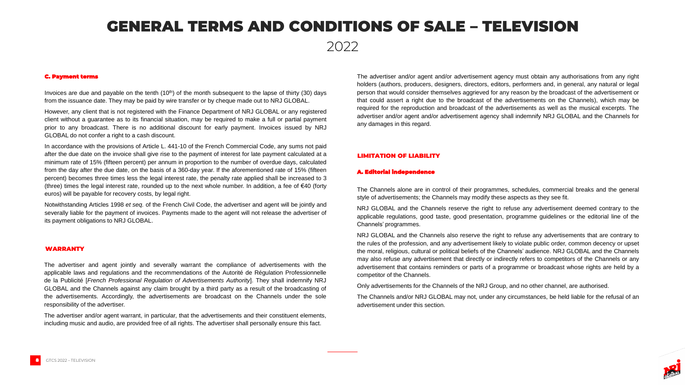### GENERAL TERMS AND CONDITIONS OF SALE – TELEVISION

Invoices are due and payable on the tenth  $(10<sup>th</sup>)$  of the month subsequent to the lapse of thirty (30) days from the issuance date. They may be paid by wire transfer or by cheque made out to NRJ GLOBAL.

However, any client that is not registered with the Finance Department of NRJ GLOBAL or any registered client without a guarantee as to its financial situation, may be required to make a full or partial payment prior to any broadcast. There is no additional discount for early payment. Invoices issued by NRJ GLOBAL do not confer a right to a cash discount.

In accordance with the provisions of Article L. 441-10 of the French Commercial Code, any sums not paid after the due date on the invoice shall give rise to the payment of interest for late payment calculated at a minimum rate of 15% (fifteen percent) per annum in proportion to the number of overdue days, calculated from the day after the due date, on the basis of a 360-day year. If the aforementioned rate of 15% (fifteen percent) becomes three times less the legal interest rate, the penalty rate applied shall be increased to 3 (three) times the legal interest rate, rounded up to the next whole number. In addition, a fee of €40 (forty euros) will be payable for recovery costs, by legal right.

Notwithstanding Articles 1998 *et seq.* of the French Civil Code, the advertiser and agent will be jointly and severally liable for the payment of invoices. Payments made to the agent will not release the advertiser of its payment obligations to NRJ GLOBAL.

The advertiser and agent jointly and severally warrant the compliance of advertisements with the applicable laws and regulations and the recommendations of the Autorité de Régulation Professionnelle de la Publicité [*French Professional Regulation of Advertisements Authority*]. They shall indemnify NRJ GLOBAL and the Channels against any claim brought by a third party as a result of the broadcasting of the advertisements. Accordingly, the advertisements are broadcast on the Channels under the sole responsibility of the advertiser.

The advertiser and/or agent warrant, in particular, that the advertisements and their constituent elements, including music and audio, are provided free of all rights. The advertiser shall personally ensure this fact.

The advertiser and/or agent and/or advertisement agency must obtain any authorisations from any right holders (authors, producers, designers, directors, editors, performers and, in general, any natural or legal person that would consider themselves aggrieved for any reason by the broadcast of the advertisement or that could assert a right due to the broadcast of the advertisements on the Channels), which may be required for the reproduction and broadcast of the advertisements as well as the musical excerpts. The advertiser and/or agent and/or advertisement agency shall indemnify NRJ GLOBAL and the Channels for any damages in this regard.

The Channels alone are in control of their programmes, schedules, commercial breaks and the general style of advertisements; the Channels may modify these aspects as they see fit.

NRJ GLOBAL and the Channels reserve the right to refuse any advertisement deemed contrary to the applicable regulations, good taste, good presentation, programme guidelines or the editorial line of the Channels' programmes.

NRJ GLOBAL and the Channels also reserve the right to refuse any advertisements that are contrary to the rules of the profession, and any advertisement likely to violate public order, common decency or upset the moral, religious, cultural or political beliefs of the Channels' audience. NRJ GLOBAL and the Channels may also refuse any advertisement that directly or indirectly refers to competitors of the Channels or any advertisement that contains reminders or parts of a programme or broadcast whose rights are held by a competitor of the Channels.

Only advertisements for the Channels of the NRJ Group, and no other channel, are authorised.

The Channels and/or NRJ GLOBAL may not, under any circumstances, be held liable for the refusal of an



advertisement under this section.

#### A. Editorial independence

#### C. Payment terms

#### WARRANTY

#### LIMITATION OF LIABILITY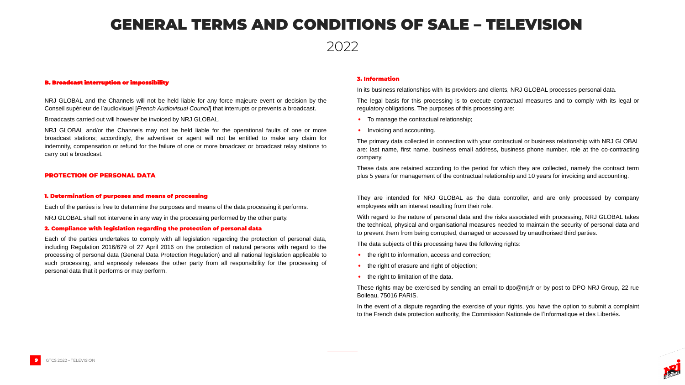### GENERAL TERMS AND CONDITIONS OF SALE – TELEVISION

NRJ GLOBAL and the Channels will not be held liable for any force majeure event or decision by the Conseil supérieur de l'audiovisuel [*French Audiovisual Council*] that interrupts or prevents a broadcast.

Broadcasts carried out will however be invoiced by NRJ GLOBAL.

NRJ GLOBAL and/or the Channels may not be held liable for the operational faults of one or more broadcast stations; accordingly, the advertiser or agent will not be entitled to make any claim for indemnity, compensation or refund for the failure of one or more broadcast or broadcast relay stations to carry out a broadcast.

#### PROTECTION OF PERSONAL DATA

#### 1. Determination of purposes and means of processing

Each of the parties is free to determine the purposes and means of the data processing it performs.

NRJ GLOBAL shall not intervene in any way in the processing performed by the other party.

#### 2. Compliance with legislation regarding the protection of personal data

Each of the parties undertakes to comply with all legislation regarding the protection of personal data, including Regulation 2016/679 of 27 April 2016 on the protection of natural persons with regard to the processing of personal data (General Data Protection Regulation) and all national legislation applicable to such processing, and expressly releases the other party from all responsibility for the processing of personal data that it performs or may perform.

#### 3. Information

In its business relationships with its providers and clients, NRJ GLOBAL processes personal data.

The legal basis for this processing is to execute contractual measures and to comply with its legal or regulatory obligations. The purposes of this processing are:

- To manage the contractual relationship;
- Invoicing and accounting.

The primary data collected in connection with your contractual or business relationship with NRJ GLOBAL are: last name, first name, business email address, business phone number, role at the co-contracting company.

These data are retained according to the period for which they are collected, namely the contract term plus 5 years for management of the contractual relationship and 10 years for invoicing and accounting.

They are intended for NRJ GLOBAL as the data controller, and are only processed by company employees with an interest resulting from their role.

With regard to the nature of personal data and the risks associated with processing, NRJ GLOBAL takes the technical, physical and organisational measures needed to maintain the security of personal data and to prevent them from being corrupted, damaged or accessed by unauthorised third parties.

The data subjects of this processing have the following rights:

- the right to information, access and correction;
- the right of erasure and right of objection;
- the right to limitation of the data.

These rights may be exercised by sending an email to dpo@nrj.fr or by post to DPO NRJ Group, 22 rue



Boileau, 75016 PARIS.

In the event of a dispute regarding the exercise of your rights, you have the option to submit a complaint to the French data protection authority, the Commission Nationale de l'Informatique et des Libertés.

#### B. Broadcast interruption or impossibility